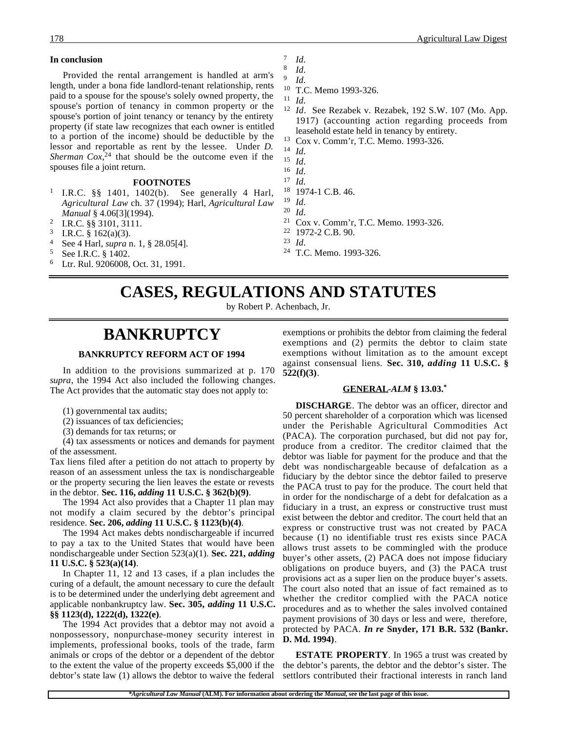#### **In conclusion**

Provided the rental arrangement is handled at arm's length, under a bona fide landlord-tenant relationship, rents paid to a spouse for the spouse's solely owned property, the spouse's portion of tenancy in common property or the spouse's portion of joint tenancy or tenancy by the entirety property (if state law recognizes that each owner is entitled to a portion of the income) should be deductible by the lessor and reportable as rent by the lessee. Under *D. Sherman Cox*, 24 that should be the outcome even if the spouses file a joint return.

### **FOOTNOTES**

- <sup>1</sup> I.R.C. §§ 1401, 1402(b). See generally 4 Harl, *Agricultural Law* ch. 37 (1994); Harl, *Agricultural Law Manual* § 4.06[3](1994).
- <sup>2</sup> I.R.C. §§ 3101, 3111.
- <sup>3</sup> I.R.C. § 162(a)(3).
- <sup>4</sup> See 4 Harl, *supra* n. 1, § 28.05[4].
- $5$  See I.R.C.  $$1402$ .<br> $6$  I tr Rul 9206008
- Ltr. Rul. 9206008, Oct. 31, 1991.
- $\frac{7}{8}$  *Id.*
- $\frac{8}{9}$  *Id.* <sup>9</sup> *Id*.
- <sup>10</sup> T.C. Memo 1993-326.
- <sup>11</sup> *Id*.
- <sup>12</sup> *Id*. See Rezabek v. Rezabek, 192 S.W. 107 (Mo. App. 1917) (accounting action regarding proceeds from leasehold estate held in tenancy by entirety.
- <sup>13</sup> Cox v. Comm'r, T.C. Memo. 1993-326.
- <sup>14</sup> *Id*.
- <sup>15</sup> *Id*.
- $\frac{16}{17}$  *Id.*
- $\frac{17}{18}$  *Id.*  $^{18}$  1974-1 C.B. 46.
- <sup>19</sup> *Id*.
- $\frac{20}{21}$  *Id.*
- Cox v. Comm'r, T.C. Memo. 1993-326.
- <sup>22</sup> 1972-2 C.B. 90.
- <sup>23</sup> *Id*.
- <sup>24</sup> T.C. Memo. 1993-326.

### **CASES, REGULATIONS AND STATUTES**

by Robert P. Achenbach, Jr.

### **BANKRUPTCY**

### **BANKRUPTCY REFORM ACT OF 1994**

In addition to the provisions summarized at p. 170 *supra*, the 1994 Act also included the following changes. The Act provides that the automatic stay does not apply to:

- (1) governmental tax audits;
- (2) issuances of tax deficiencies;
- (3) demands for tax returns; or

(4) tax assessments or notices and demands for payment of the assessment.

Tax liens filed after a petition do not attach to property by reason of an assessment unless the tax is nondischargeable or the property securing the lien leaves the estate or revests in the debtor. **Sec. 116,** *adding* **11 U.S.C. § 362(b)(9)**.

The 1994 Act also provides that a Chapter 11 plan may not modify a claim secured by the debtor's principal residence. **Sec. 206,** *adding* **11 U.S.C. § 1123(b)(4)**.

The 1994 Act makes debts nondischargeable if incurred to pay a tax to the United States that would have been nondischargeable under Section 523(a)(1). **Sec. 221,** *adding* **11 U.S.C. § 523(a)(14)**.

In Chapter 11, 12 and 13 cases, if a plan includes the curing of a default, the amount necessary to cure the default is to be determined under the underlying debt agreement and applicable nonbankruptcy law. **Sec. 305,** *adding* **11 U.S.C. §§ 1123(d), 1222(d), 1322(e)**.

The 1994 Act provides that a debtor may not avoid a nonpossessory, nonpurchase-money security interest in implements, professional books, tools of the trade, farm animals or crops of the debtor or a dependent of the debtor to the extent the value of the property exceeds \$5,000 if the debtor's state law (1) allows the debtor to waive the federal

exemptions or prohibits the debtor from claiming the federal exemptions and (2) permits the debtor to claim state exemptions without limitation as to the amount except against consensual liens. **Sec. 310,** *adding* **11 U.S.C. § 522(f)(3)**.

#### **GENERAL -***ALM* **§ 13.03.\***

**DISCHARGE**. The debtor was an officer, director and 50 percent shareholder of a corporation which was licensed under the Perishable Agricultural Commodities Act (PACA). The corporation purchased, but did not pay for, produce from a creditor. The creditor claimed that the debtor was liable for payment for the produce and that the debt was nondischargeable because of defalcation as a fiduciary by the debtor since the debtor failed to preserve the PACA trust to pay for the produce. The court held that in order for the nondischarge of a debt for defalcation as a fiduciary in a trust, an express or constructive trust must exist between the debtor and creditor. The court held that an express or constructive trust was not created by PACA because (1) no identifiable trust res exists since PACA allows trust assets to be commingled with the produce buyer's other assets, (2) PACA does not impose fiduciary obligations on produce buyers, and (3) the PACA trust provisions act as a super lien on the produce buyer's assets. The court also noted that an issue of fact remained as to whether the creditor complied with the PACA notice procedures and as to whether the sales involved contained payment provisions of 30 days or less and were, therefore, protected by PACA. *In re* **Snyder, 171 B.R. 532 (Bankr. D. Md. 1994)**.

**ESTATE PROPERTY**. In 1965 a trust was created by the debtor's parents, the debtor and the debtor's sister. The settlors contributed their fractional interests in ranch land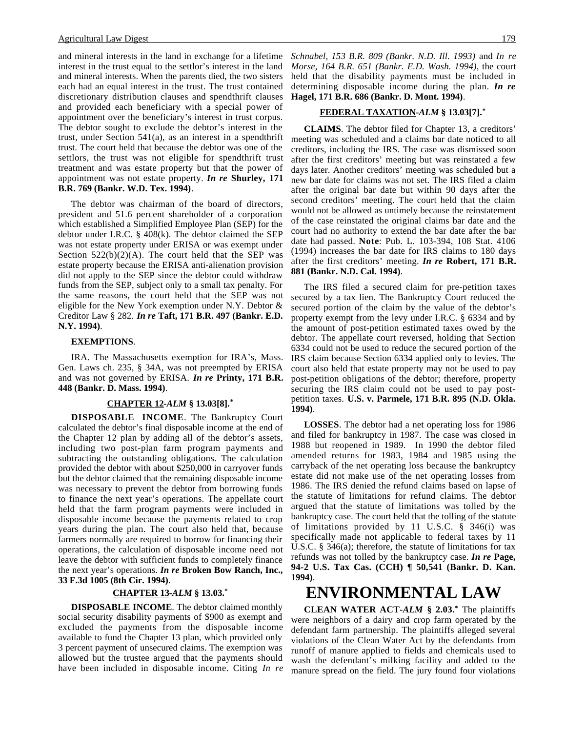and mineral interests in the land in exchange for a lifetime interest in the trust equal to the settlor's interest in the land and mineral interests. When the parents died, the two sisters each had an equal interest in the trust. The trust contained discretionary distribution clauses and spendthrift clauses and provided each beneficiary with a special power of appointment over the beneficiary's interest in trust corpus. The debtor sought to exclude the debtor's interest in the trust, under Section 541(a), as an interest in a spendthrift trust. The court held that because the debtor was one of the settlors, the trust was not eligible for spendthrift trust treatment and was estate property but that the power of appointment was not estate property. *In re* **Shurley, 171 B.R. 769 (Bankr. W.D. Tex. 1994)**.

The debtor was chairman of the board of directors, president and 51.6 percent shareholder of a corporation which established a Simplified Employee Plan (SEP) for the debtor under I.R.C. § 408(k). The debtor claimed the SEP was not estate property under ERISA or was exempt under Section  $522(b)(2)(A)$ . The court held that the SEP was estate property because the ERISA anti-alienation provision did not apply to the SEP since the debtor could withdraw funds from the SEP, subject only to a small tax penalty. For the same reasons, the court held that the SEP was not eligible for the New York exemption under N.Y. Debtor & Creditor Law § 282. *In re* **Taft, 171 B.R. 497 (Bankr. E.D. N.Y. 1994)**.

#### **EXEMPTIONS**.

IRA. The Massachusetts exemption for IRA's, Mass. Gen. Laws ch. 235, § 34A, was not preempted by ERISA and was not governed by ERISA. *In re* **Printy, 171 B.R. 448 (Bankr. D. Mass. 1994)**.

#### **CHAPTER 12 -***ALM* **§ 13.03[8].\***

**DISPOSABLE INCOME**. The Bankruptcy Court calculated the debtor's final disposable income at the end of the Chapter 12 plan by adding all of the debtor's assets, including two post-plan farm program payments and subtracting the outstanding obligations. The calculation provided the debtor with about \$250,000 in carryover funds but the debtor claimed that the remaining disposable income was necessary to prevent the debtor from borrowing funds to finance the next year's operations. The appellate court held that the farm program payments were included in disposable income because the payments related to crop years during the plan. The court also held that, because farmers normally are required to borrow for financing their operations, the calculation of disposable income need not leave the debtor with sufficient funds to completely finance the next year's operations. *In re* **Broken Bow Ranch, Inc., 33 F.3d 1005 (8th Cir. 1994)**.

#### **CHAPTER 13 -***ALM* **§ 13.03.\***

**DISPOSABLE INCOME**. The debtor claimed monthly social security disability payments of \$900 as exempt and excluded the payments from the disposable income available to fund the Chapter 13 plan, which provided only 3 percent payment of unsecured claims. The exemption was allowed but the trustee argued that the payments should have been included in disposable income. Citing *In re* *Schnabel, 153 B.R. 809 (Bankr. N.D. Ill. 1993)* and *In re Morse, 164 B.R. 651 (Bankr. E.D. Wash. 1994)*, the court held that the disability payments must be included in determining disposable income during the plan. *In re* **Hagel, 171 B.R. 686 (Bankr. D. Mont. 1994)**.

### **FEDERAL TAXATION -***ALM* **§ 13.03[7].\***

**CLAIMS**. The debtor filed for Chapter 13, a creditors' meeting was scheduled and a claims bar date noticed to all creditors, including the IRS. The case was dismissed soon after the first creditors' meeting but was reinstated a few days later. Another creditors' meeting was scheduled but a new bar date for claims was not set. The IRS filed a claim after the original bar date but within 90 days after the second creditors' meeting. The court held that the claim would not be allowed as untimely because the reinstatement of the case reinstated the original claims bar date and the court had no authority to extend the bar date after the bar date had passed. **Note**: Pub. L. 103-394, 108 Stat. 4106 (1994) increases the bar date for IRS claims to 180 days after the first creditors' meeting. *In re* **Robert, 171 B.R. 881 (Bankr. N.D. Cal. 1994)**.

The IRS filed a secured claim for pre-petition taxes secured by a tax lien. The Bankruptcy Court reduced the secured portion of the claim by the value of the debtor's property exempt from the levy under I.R.C. § 6334 and by the amount of post-petition estimated taxes owed by the debtor. The appellate court reversed, holding that Section 6334 could not be used to reduce the secured portion of the IRS claim because Section 6334 applied only to levies. The court also held that estate property may not be used to pay post-petition obligations of the debtor; therefore, property securing the IRS claim could not be used to pay postpetition taxes. **U.S. v. Parmele, 171 B.R. 895 (N.D. Okla. 1994)**.

**LOSSES**. The debtor had a net operating loss for 1986 and filed for bankruptcy in 1987. The case was closed in 1988 but reopened in 1989. In 1990 the debtor filed amended returns for 1983, 1984 and 1985 using the carryback of the net operating loss because the bankruptcy estate did not make use of the net operating losses from 1986. The IRS denied the refund claims based on lapse of the statute of limitations for refund claims. The debtor argued that the statute of limitations was tolled by the bankruptcy case. The court held that the tolling of the statute of limitations provided by 11 U.S.C. § 346(i) was specifically made not applicable to federal taxes by 11 U.S.C. § 346(a); therefore, the statute of limitations for tax refunds was not tolled by the bankruptcy case. *In re* **Page, 94-2 U.S. Tax Cas. (CCH) ¶ 50,541 (Bankr. D. Kan. 1994)**.

## **ENVIRONMENTAL LAW**

**CLEAN WATER ACT-***ALM* **§ 2.03.\*** The plaintiffs were neighbors of a dairy and crop farm operated by the defendant farm partnership. The plaintiffs alleged several violations of the Clean Water Act by the defendants from runoff of manure applied to fields and chemicals used to wash the defendant's milking facility and added to the manure spread on the field. The jury found four violations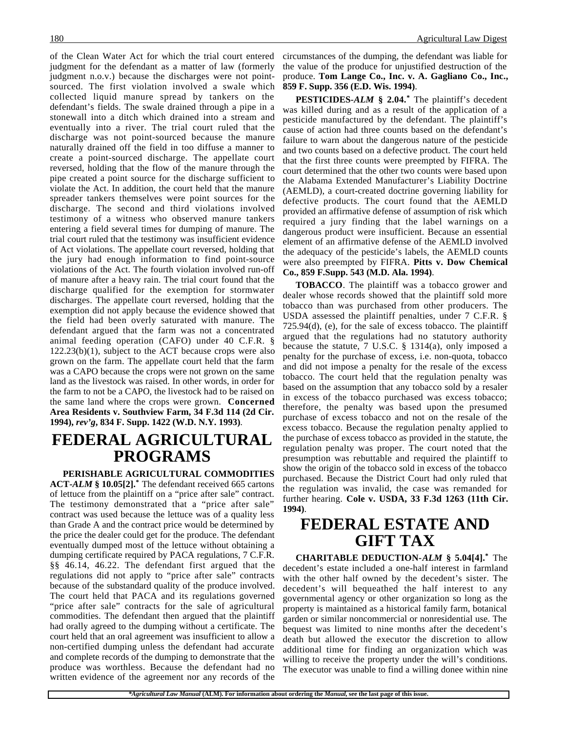of the Clean Water Act for which the trial court entered judgment for the defendant as a matter of law (formerly judgment n.o.v.) because the discharges were not pointsourced. The first violation involved a swale which collected liquid manure spread by tankers on the defendant's fields. The swale drained through a pipe in a stonewall into a ditch which drained into a stream and eventually into a river. The trial court ruled that the discharge was not point-sourced because the manure naturally drained off the field in too diffuse a manner to create a point-sourced discharge. The appellate court reversed, holding that the flow of the manure through the pipe created a point source for the discharge sufficient to violate the Act. In addition, the court held that the manure spreader tankers themselves were point sources for the discharge. The second and third violations involved testimony of a witness who observed manure tankers entering a field several times for dumping of manure. The trial court ruled that the testimony was insufficient evidence of Act violations. The appellate court reversed, holding that the jury had enough information to find point-source violations of the Act. The fourth violation involved run-off of manure after a heavy rain. The trial court found that the discharge qualified for the exemption for stormwater discharges. The appellate court reversed, holding that the exemption did not apply because the evidence showed that the field had been overly saturated with manure. The defendant argued that the farm was not a concentrated animal feeding operation (CAFO) under 40 C.F.R. §  $122.23(b)(1)$ , subject to the ACT because crops were also grown on the farm. The appellate court held that the farm was a CAPO because the crops were not grown on the same land as the livestock was raised. In other words, in order for the farm to not be a CAPO, the livestock had to be raised on the same land where the crops were grown. **Concerned Area Residents v. Southview Farm, 34 F.3d 114 (2d Cir. 1994),** *rev'g***, 834 F. Supp. 1422 (W.D. N.Y. 1993)**.

### **FEDERAL AGRICULTURAL PROGRAMS**

**PERISHABLE AGRICULTURAL COMMODITIES ACT-***ALM* **§ 10.05[2].\*** The defendant received 665 cartons of lettuce from the plaintiff on a "price after sale" contract. The testimony demonstrated that a "price after sale" contract was used because the lettuce was of a quality less than Grade A and the contract price would be determined by the price the dealer could get for the produce. The defendant eventually dumped most of the lettuce without obtaining a dumping certificate required by PACA regulations, 7 C.F.R. §§ 46.14, 46.22. The defendant first argued that the regulations did not apply to "price after sale" contracts because of the substandard quality of the produce involved. The court held that PACA and its regulations governed "price after sale" contracts for the sale of agricultural commodities. The defendant then argued that the plaintiff had orally agreed to the dumping without a certificate. The court held that an oral agreement was insufficient to allow a non-certified dumping unless the defendant had accurate and complete records of the dumping to demonstrate that the produce was worthless. Because the defendant had no written evidence of the agreement nor any records of the circumstances of the dumping, the defendant was liable for the value of the produce for unjustified destruction of the produce. **Tom Lange Co., Inc. v. A. Gagliano Co., Inc., 859 F. Supp. 356 (E.D. Wis. 1994)**.

**PESTICIDES-***ALM* **§ 2.04.\*** The plaintiff's decedent was killed during and as a result of the application of a pesticide manufactured by the defendant. The plaintiff's cause of action had three counts based on the defendant's failure to warn about the dangerous nature of the pesticide and two counts based on a defective product. The court held that the first three counts were preempted by FIFRA. The court determined that the other two counts were based upon the Alabama Extended Manufacturer's Liability Doctrine (AEMLD), a court-created doctrine governing liability for defective products. The court found that the AEMLD provided an affirmative defense of assumption of risk which required a jury finding that the label warnings on a dangerous product were insufficient. Because an essential element of an affirmative defense of the AEMLD involved the adequacy of the pesticide's labels, the AEMLD counts were also preempted by FIFRA. **Pitts v. Dow Chemical Co., 859 F.Supp. 543 (M.D. Ala. 1994)**.

**TOBACCO**. The plaintiff was a tobacco grower and dealer whose records showed that the plaintiff sold more tobacco than was purchased from other producers. The USDA assessed the plaintiff penalties, under 7 C.F.R. § 725.94(d), (e), for the sale of excess tobacco. The plaintiff argued that the regulations had no statutory authority because the statute,  $7 \text{ U.S.C. }$  § 1314(a), only imposed a penalty for the purchase of excess, i.e. non-quota, tobacco and did not impose a penalty for the resale of the excess tobacco. The court held that the regulation penalty was based on the assumption that any tobacco sold by a resaler in excess of the tobacco purchased was excess tobacco; therefore, the penalty was based upon the presumed purchase of excess tobacco and not on the resale of the excess tobacco. Because the regulation penalty applied to the purchase of excess tobacco as provided in the statute, the regulation penalty was proper. The court noted that the presumption was rebuttable and required the plaintiff to show the origin of the tobacco sold in excess of the tobacco purchased. Because the District Court had only ruled that the regulation was invalid, the case was remanded for further hearing. **Cole v. USDA, 33 F.3d 1263 (11th Cir. 1994)**.

### **FEDERAL ESTATE AND GIFT TAX**

**CHARITABLE DEDUCTION-***ALM* **§ 5.04[4].\*** The decedent's estate included a one-half interest in farmland with the other half owned by the decedent's sister. The decedent's will bequeathed the half interest to any governmental agency or other organization so long as the property is maintained as a historical family farm, botanical garden or similar noncommercial or nonresidential use. The bequest was limited to nine months after the decedent's death but allowed the executor the discretion to allow additional time for finding an organization which was willing to receive the property under the will's conditions. The executor was unable to find a willing donee within nine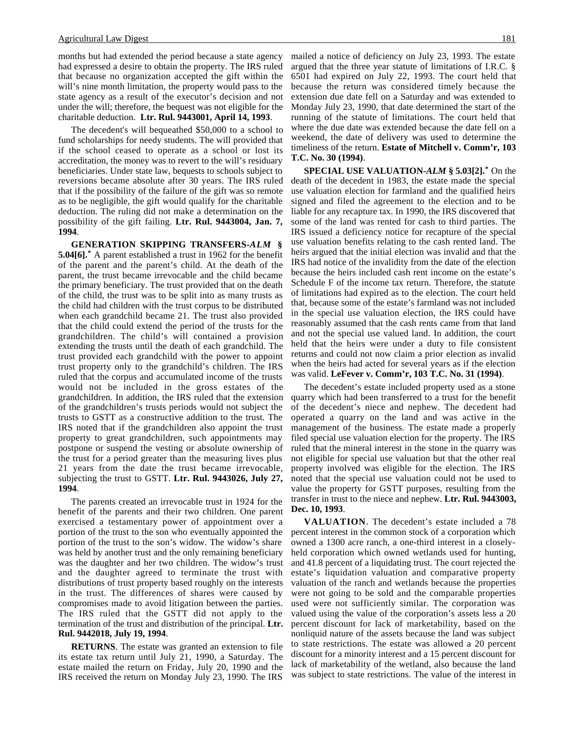months but had extended the period because a state agency had expressed a desire to obtain the property. The IRS ruled that because no organization accepted the gift within the will's nine month limitation, the property would pass to the state agency as a result of the executor's decision and not under the will; therefore, the bequest was not eligible for the charitable deduction. **Ltr. Rul. 9443001, April 14, 1993**.

The decedent's will bequeathed \$50,000 to a school to fund scholarships for needy students. The will provided that if the school ceased to operate as a school or lost its accreditation, the money was to revert to the will's residuary beneficiaries. Under state law, bequests to schools subject to reversions became absolute after 30 years. The IRS ruled that if the possibility of the failure of the gift was so remote as to be negligible, the gift would qualify for the charitable deduction. The ruling did not make a determination on the possibility of the gift failing. **Ltr. Rul. 9443004, Jan. 7, 1994**.

**GENERATION SKIPPING TRANSFERS-***ALM* **§ 5.04[6].\*** A parent established a trust in 1962 for the benefit of the parent and the parent's child. At the death of the parent, the trust became irrevocable and the child became the primary beneficiary. The trust provided that on the death of the child, the trust was to be split into as many trusts as the child had children with the trust corpus to be distributed when each grandchild became 21. The trust also provided that the child could extend the period of the trusts for the grandchildren. The child's will contained a provision extending the trusts until the death of each grandchild. The trust provided each grandchild with the power to appoint trust property only to the grandchild's children. The IRS ruled that the corpus and accumulated income of the trusts would not be included in the gross estates of the grandchildren. In addition, the IRS ruled that the extension of the grandchildren's trusts periods would not subject the trusts to GSTT as a constructive addition to the trust. The IRS noted that if the grandchildren also appoint the trust property to great grandchildren, such appointments may postpone or suspend the vesting or absolute ownership of the trust for a period greater than the measuring lives plus 21 years from the date the trust became irrevocable, subjecting the trust to GSTT. **Ltr. Rul. 9443026, July 27, 1994**.

The parents created an irrevocable trust in 1924 for the benefit of the parents and their two children. One parent exercised a testamentary power of appointment over a portion of the trust to the son who eventually appointed the portion of the trust to the son's widow. The widow's share was held by another trust and the only remaining beneficiary was the daughter and her two children. The widow's trust and the daughter agreed to terminate the trust with distributions of trust property based roughly on the interests in the trust. The differences of shares were caused by compromises made to avoid litigation between the parties. The IRS ruled that the GSTT did not apply to the termination of the trust and distribution of the principal. **Ltr. Rul. 9442018, July 19, 1994**.

**RETURNS**. The estate was granted an extension to file its estate tax return until July 21, 1990, a Saturday. The estate mailed the return on Friday, July 20, 1990 and the IRS received the return on Monday July 23, 1990. The IRS

mailed a notice of deficiency on July 23, 1993. The estate argued that the three year statute of limitations of I.R.C. § 6501 had expired on July 22, 1993. The court held that because the return was considered timely because the extension due date fell on a Saturday and was extended to Monday July 23, 1990, that date determined the start of the running of the statute of limitations. The court held that where the due date was extended because the date fell on a weekend, the date of delivery was used to determine the timeliness of the return. **Estate of Mitchell v. Comm'r, 103 T.C. No. 30 (1994)**.

**SPECIAL USE VALUATION-***ALM* **§ 5.03[2].\*** On the death of the decedent in 1983, the estate made the special use valuation election for farmland and the qualified heirs signed and filed the agreement to the election and to be liable for any recapture tax. In 1990, the IRS discovered that some of the land was rented for cash to third parties. The IRS issued a deficiency notice for recapture of the special use valuation benefits relating to the cash rented land. The heirs argued that the initial election was invalid and that the IRS had notice of the invalidity from the date of the election because the heirs included cash rent income on the estate's Schedule F of the income tax return. Therefore, the statute of limitations had expired as to the election. The court held that, because some of the estate's farmland was not included in the special use valuation election, the IRS could have reasonably assumed that the cash rents came from that land and not the special use valued land. In addition, the court held that the heirs were under a duty to file consistent returns and could not now claim a prior election as invalid when the heirs had acted for several years as if the election was valid. **LeFever v. Comm'r, 103 T.C. No. 31 (1994)**.

The decedent's estate included property used as a stone quarry which had been transferred to a trust for the benefit of the decedent's niece and nephew. The decedent had operated a quarry on the land and was active in the management of the business. The estate made a properly filed special use valuation election for the property. The IRS ruled that the mineral interest in the stone in the quarry was not eligible for special use valuation but that the other real property involved was eligible for the election. The IRS noted that the special use valuation could not be used to value the property for GSTT purposes, resulting from the transfer in trust to the niece and nephew. **Ltr. Rul. 9443003, Dec. 10, 1993**.

**VALUATION**. The decedent's estate included a 78 percent interest in the common stock of a corporation which owned a 1300 acre ranch, a one-third interest in a closelyheld corporation which owned wetlands used for hunting, and 41.8 percent of a liquidating trust. The court rejected the estate's liquidation valuation and comparative property valuation of the ranch and wetlands because the properties were not going to be sold and the comparable properties used were not sufficiently similar. The corporation was valued using the value of the corporation's assets less a 20 percent discount for lack of marketability, based on the nonliquid nature of the assets because the land was subject to state restrictions. The estate was allowed a 20 percent discount for a minority interest and a 15 percent discount for lack of marketability of the wetland, also because the land was subject to state restrictions. The value of the interest in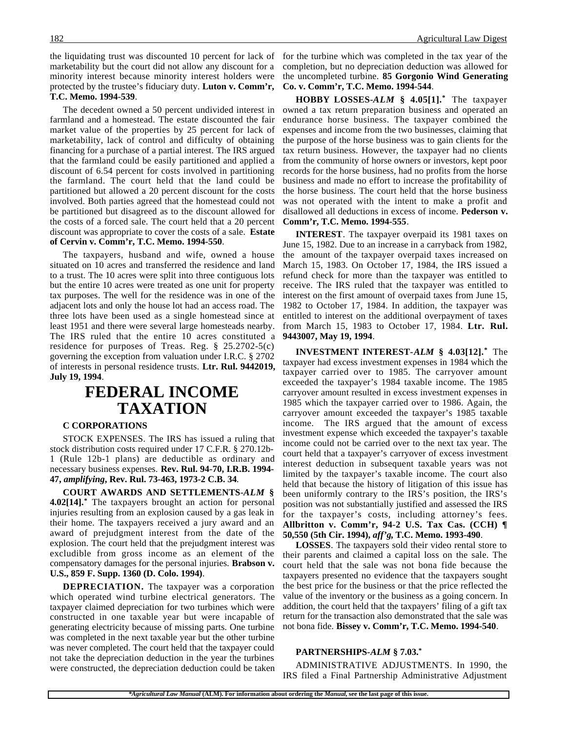the liquidating trust was discounted 10 percent for lack of for the turbine which was completed in the tax year of the marketability but the court did not allow any discount for a minority interest because minority interest holders were protected by the trustee's fiduciary duty. **Luton v. Comm'r, T.C. Memo. 1994-539**.

The decedent owned a 50 percent undivided interest in farmland and a homestead. The estate discounted the fair market value of the properties by 25 percent for lack of marketability, lack of control and difficulty of obtaining financing for a purchase of a partial interest. The IRS argued that the farmland could be easily partitioned and applied a discount of 6.54 percent for costs involved in partitioning the farmland. The court held that the land could be partitioned but allowed a 20 percent discount for the costs involved. Both parties agreed that the homestead could not be partitioned but disagreed as to the discount allowed for the costs of a forced sale. The court held that a 20 percent discount was appropriate to cover the costs of a sale. **Estate of Cervin v. Comm'r, T.C. Memo. 1994-550**.

The taxpayers, husband and wife, owned a house situated on 10 acres and transferred the residence and land to a trust. The 10 acres were split into three contiguous lots but the entire 10 acres were treated as one unit for property tax purposes. The well for the residence was in one of the adjacent lots and only the house lot had an access road. The three lots have been used as a single homestead since at least 1951 and there were several large homesteads nearby. The IRS ruled that the entire 10 acres constituted a residence for purposes of Treas. Reg. § 25.2702-5(c) governing the exception from valuation under I.R.C. § 2702 of interests in personal residence trusts. **Ltr. Rul. 9442019, July 19, 1994**.

### **FEDERAL INCOME TAXATION**

### **C CORPORATIONS**

STOCK EXPENSES. The IRS has issued a ruling that stock distribution costs required under 17 C.F.R. § 270.12b-1 (Rule 12b-1 plans) are deductible as ordinary and necessary business expenses. **Rev. Rul. 94-70, I.R.B. 1994- 47,** *amplifying***, Rev. Rul. 73-463, 1973-2 C.B. 34**.

**COURT AWARDS AND SETTLEMENTS-***ALM* **§ 4.02[14].\*** The taxpayers brought an action for personal injuries resulting from an explosion caused by a gas leak in their home. The taxpayers received a jury award and an award of prejudgment interest from the date of the explosion. The court held that the prejudgment interest was excludible from gross income as an element of the compensatory damages for the personal injuries. **Brabson v. U.S., 859 F. Supp. 1360 (D. Colo. 1994)**.

**DEPRECIATION.** The taxpayer was a corporation which operated wind turbine electrical generators. The taxpayer claimed depreciation for two turbines which were constructed in one taxable year but were incapable of generating electricity because of missing parts. One turbine was completed in the next taxable year but the other turbine was never completed. The court held that the taxpayer could not take the depreciation deduction in the year the turbines were constructed, the depreciation deduction could be taken

completion, but no depreciation deduction was allowed for the uncompleted turbine. **85 Gorgonio Wind Generating Co. v. Comm'r, T.C. Memo. 1994-544**.

**HOBBY LOSSES-***ALM* **§ 4.05[1].\*** The taxpayer owned a tax return preparation business and operated an endurance horse business. The taxpayer combined the expenses and income from the two businesses, claiming that the purpose of the horse business was to gain clients for the tax return business. However, the taxpayer had no clients from the community of horse owners or investors, kept poor records for the horse business, had no profits from the horse business and made no effort to increase the profitability of the horse business. The court held that the horse business was not operated with the intent to make a profit and disallowed all deductions in excess of income. **Pederson v. Comm'r, T.C. Memo. 1994-555**.

**INTEREST**. The taxpayer overpaid its 1981 taxes on June 15, 1982. Due to an increase in a carryback from 1982, the amount of the taxpayer overpaid taxes increased on March 15, 1983. On October 17, 1984, the IRS issued a refund check for more than the taxpayer was entitled to receive. The IRS ruled that the taxpayer was entitled to interest on the first amount of overpaid taxes from June 15, 1982 to October 17, 1984. In addition, the taxpayer was entitled to interest on the additional overpayment of taxes from March 15, 1983 to October 17, 1984. **Ltr. Rul. 9443007, May 19, 1994**.

**INVESTMENT INTEREST-***ALM* **§ 4.03[12].\*** The taxpayer had excess investment expenses in 1984 which the taxpayer carried over to 1985. The carryover amount exceeded the taxpayer's 1984 taxable income. The 1985 carryover amount resulted in excess investment expenses in 1985 which the taxpayer carried over to 1986. Again, the carryover amount exceeded the taxpayer's 1985 taxable income. The IRS argued that the amount of excess investment expense which exceeded the taxpayer's taxable income could not be carried over to the next tax year. The court held that a taxpayer's carryover of excess investment interest deduction in subsequent taxable years was not limited by the taxpayer's taxable income. The court also held that because the history of litigation of this issue has been uniformly contrary to the IRS's position, the IRS's position was not substantially justified and assessed the IRS for the taxpayer's costs, including attorney's fees. **Allbritton v. Comm'r, 94-2 U.S. Tax Cas. (CCH) ¶ 50,550 (5th Cir. 1994),** *aff'g***, T.C. Memo. 1993-490**.

**LOSSES**. The taxpayers sold their video rental store to their parents and claimed a capital loss on the sale. The court held that the sale was not bona fide because the taxpayers presented no evidence that the taxpayers sought the best price for the business or that the price reflected the value of the inventory or the business as a going concern. In addition, the court held that the taxpayers' filing of a gift tax return for the transaction also demonstrated that the sale was not bona fide. **Bissey v. Comm'r, T.C. Memo. 1994-540**.

#### **PARTNERSHIPS-***ALM* **§ 7.03.\***

ADMINISTRATIVE ADJUSTMENTS. In 1990, the IRS filed a Final Partnership Administrative Adjustment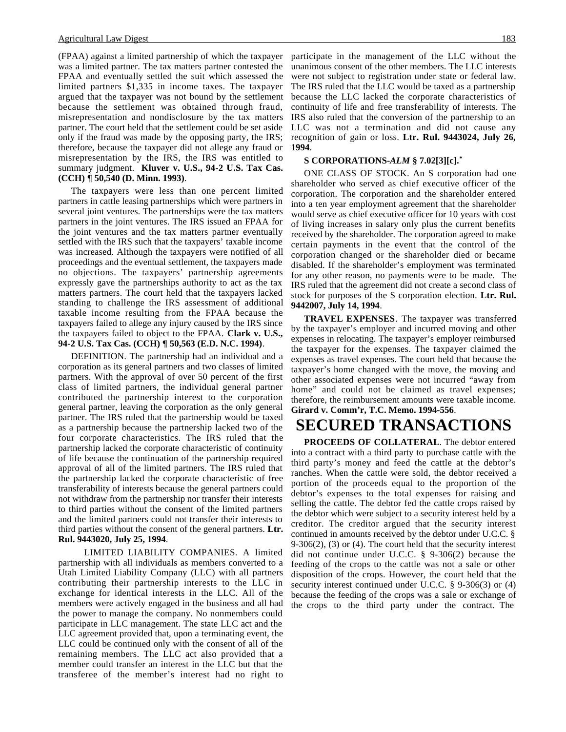(FPAA) against a limited partnership of which the taxpayer was a limited partner. The tax matters partner contested the FPAA and eventually settled the suit which assessed the limited partners \$1,335 in income taxes. The taxpayer argued that the taxpayer was not bound by the settlement because the settlement was obtained through fraud, misrepresentation and nondisclosure by the tax matters partner. The court held that the settlement could be set aside only if the fraud was made by the opposing party, the IRS; therefore, because the taxpayer did not allege any fraud or misrepresentation by the IRS, the IRS was entitled to summary judgment. **Kluver v. U.S., 94-2 U.S. Tax Cas. (CCH) ¶ 50,540 (D. Minn. 1993)**.

The taxpayers were less than one percent limited partners in cattle leasing partnerships which were partners in several joint ventures. The partnerships were the tax matters partners in the joint ventures. The IRS issued an FPAA for the joint ventures and the tax matters partner eventually settled with the IRS such that the taxpayers' taxable income was increased. Although the taxpayers were notified of all proceedings and the eventual settlement, the taxpayers made no objections. The taxpayers' partnership agreements expressly gave the partnerships authority to act as the tax matters partners. The court held that the taxpayers lacked standing to challenge the IRS assessment of additional taxable income resulting from the FPAA because the taxpayers failed to allege any injury caused by the IRS since the taxpayers failed to object to the FPAA. **Clark v. U.S., 94-2 U.S. Tax Cas. (CCH) ¶ 50,563 (E.D. N.C. 1994)**.

DEFINITION. The partnership had an individual and a corporation as its general partners and two classes of limited partners. With the approval of over 50 percent of the first class of limited partners, the individual general partner contributed the partnership interest to the corporation general partner, leaving the corporation as the only general partner. The IRS ruled that the partnership would be taxed as a partnership because the partnership lacked two of the four corporate characteristics. The IRS ruled that the partnership lacked the corporate characteristic of continuity of life because the continuation of the partnership required approval of all of the limited partners. The IRS ruled that the partnership lacked the corporate characteristic of free transferability of interests because the general partners could not withdraw from the partnership nor transfer their interests to third parties without the consent of the limited partners and the limited partners could not transfer their interests to third parties without the consent of the general partners. **Ltr. Rul. 9443020, July 25, 1994**.

LIMITED LIABILITY COMPANIES. A limited partnership with all individuals as members converted to a Utah Limited Liability Company (LLC) with all partners contributing their partnership interests to the LLC in exchange for identical interests in the LLC. All of the members were actively engaged in the business and all had the power to manage the company. No nonmembers could participate in LLC management. The state LLC act and the LLC agreement provided that, upon a terminating event, the LLC could be continued only with the consent of all of the remaining members. The LLC act also provided that a member could transfer an interest in the LLC but that the transferee of the member's interest had no right to

participate in the management of the LLC without the unanimous consent of the other members. The LLC interests were not subject to registration under state or federal law. The IRS ruled that the LLC would be taxed as a partnership because the LLC lacked the corporate characteristics of continuity of life and free transferability of interests. The IRS also ruled that the conversion of the partnership to an LLC was not a termination and did not cause any recognition of gain or loss. **Ltr. Rul. 9443024, July 26, 1994**.

#### **S CORPORATIONS-***ALM* **§ 7.02[3][c].\***

ONE CLASS OF STOCK. An S corporation had one shareholder who served as chief executive officer of the corporation. The corporation and the shareholder entered into a ten year employment agreement that the shareholder would serve as chief executive officer for 10 years with cost of living increases in salary only plus the current benefits received by the shareholder. The corporation agreed to make certain payments in the event that the control of the corporation changed or the shareholder died or became disabled. If the shareholder's employment was terminated for any other reason, no payments were to be made. The IRS ruled that the agreement did not create a second class of stock for purposes of the S corporation election. **Ltr. Rul. 9442007, July 14, 1994**.

**TRAVEL EXPENSES**. The taxpayer was transferred by the taxpayer's employer and incurred moving and other expenses in relocating. The taxpayer's employer reimbursed the taxpayer for the expenses. The taxpayer claimed the expenses as travel expenses. The court held that because the taxpayer's home changed with the move, the moving and other associated expenses were not incurred "away from home" and could not be claimed as travel expenses; therefore, the reimbursement amounts were taxable income. **Girard v. Comm'r, T.C. Memo. 1994-556**.

# **SECURED TRANSACTIONS**

**PROCEEDS OF COLLATERAL**. The debtor entered into a contract with a third party to purchase cattle with the third party's money and feed the cattle at the debtor's ranches. When the cattle were sold, the debtor received a portion of the proceeds equal to the proportion of the debtor's expenses to the total expenses for raising and selling the cattle. The debtor fed the cattle crops raised by the debtor which were subject to a security interest held by a creditor. The creditor argued that the security interest continued in amounts received by the debtor under U.C.C. § 9-306(2), (3) or (4). The court held that the security interest did not continue under U.C.C. § 9-306(2) because the feeding of the crops to the cattle was not a sale or other disposition of the crops. However, the court held that the security interest continued under U.C.C. § 9-306(3) or (4) because the feeding of the crops was a sale or exchange of the crops to the third party under the contract. The